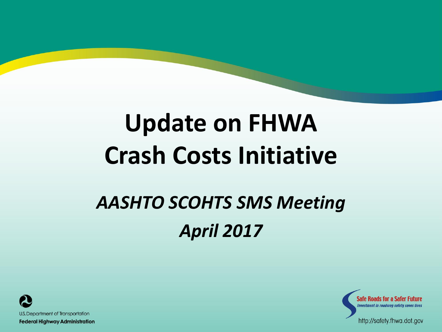### **Update on FHWA Crash Costs Initiative**

#### *AASHTO SCOHTS SMS Meeting April 2017*





http://safety.fhwa.dot.gov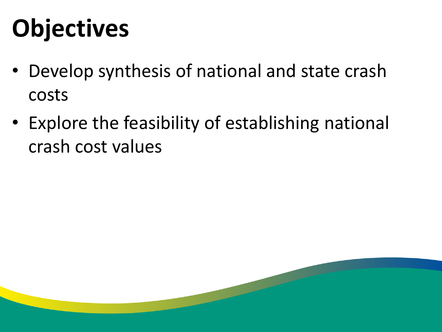# **Objectives**

- Develop synthesis of national and state crash costs
- Explore the feasibility of establishing national crash cost values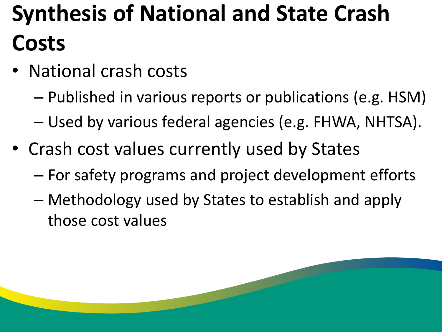### **Synthesis of National and State Crash Costs**

- National crash costs
	- Published in various reports or publications (e.g. HSM)
	- Used by various federal agencies (e.g. FHWA, NHTSA).
- Crash cost values currently used by States
	- For safety programs and project development efforts
	- Methodology used by States to establish and apply those cost values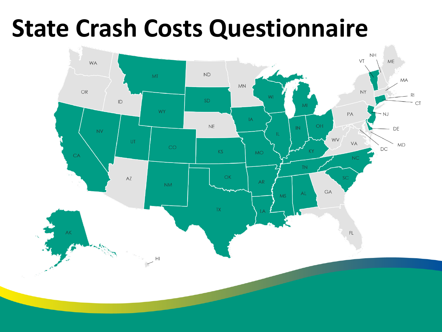#### **State Crash Costs Questionnaire**

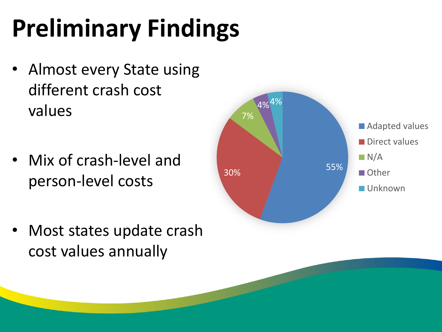# **Preliminary Findings**

- Almost every State using different crash cost values
- Mix of crash-level and person-level costs
- Most states update crash cost values annually

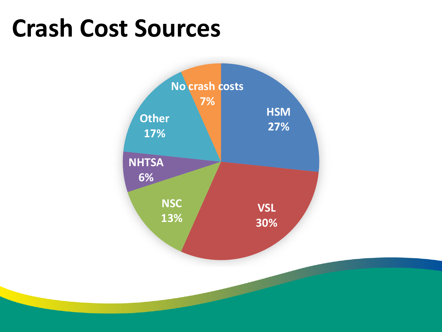#### **Crash Cost Sources**

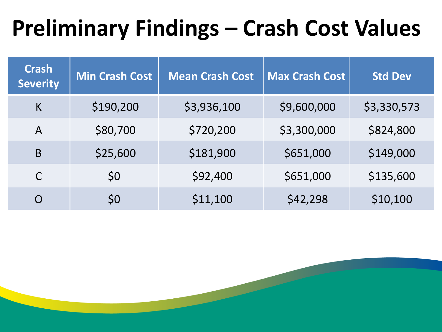#### **Preliminary Findings – Crash Cost Values**

| <b>Crash</b><br><b>Severity</b> | <b>Min Crash Cost</b> | <b>Mean Crash Cost</b> | <b>Max Crash Cost</b> | <b>Std Dev</b> |
|---------------------------------|-----------------------|------------------------|-----------------------|----------------|
| K                               | \$190,200             | \$3,936,100            | \$9,600,000           | \$3,330,573    |
| $\mathsf{A}$                    | \$80,700              | \$720,200              | \$3,300,000           | \$824,800      |
| B                               | \$25,600              | \$181,900              | \$651,000             | \$149,000      |
| $\mathsf C$                     | \$0                   | \$92,400               | \$651,000             | \$135,600      |
| $\Omega$                        | \$0                   | \$11,100               | \$42,298              | \$10,100       |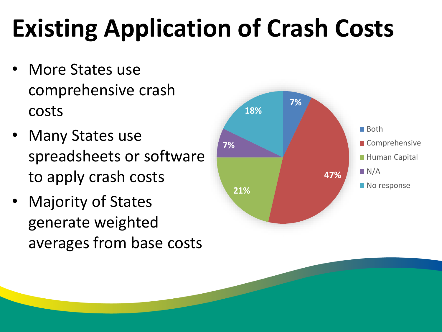# **Existing Application of Crash Costs**

- More States use comprehensive crash costs
- Many States use spreadsheets or software to apply crash costs
- Majority of States generate weighted averages from base costs

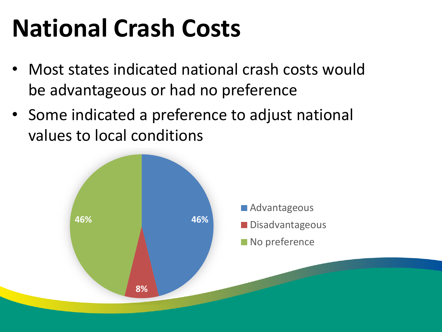# **National Crash Costs**

- Most states indicated national crash costs would be advantageous or had no preference
- Some indicated a preference to adjust national values to local conditions

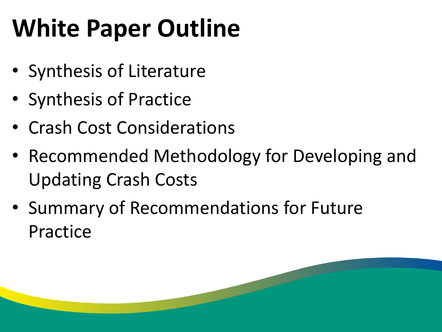# **White Paper Outline**

- Synthesis of Literature
- Synthesis of Practice
- Crash Cost Considerations
- Recommended Methodology for Developing and Updating Crash Costs
- Summary of Recommendations for Future Practice